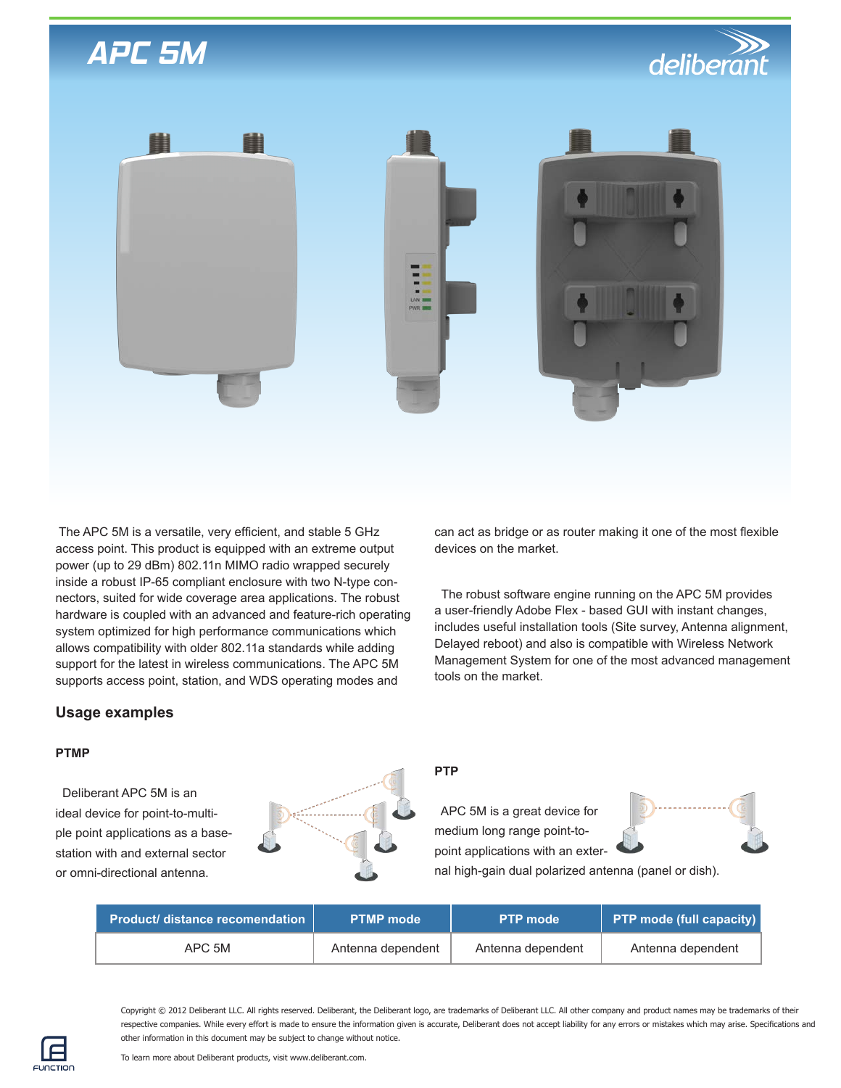# *APC 5M*





 The APC 5M is a versatile, very efficient, and stable 5 GHz access point. This product is equipped with an extreme output power (up to 29 dBm) 802.11n MIMO radio wrapped securely inside a robust IP-65 compliant enclosure with two N-type connectors, suited for wide coverage area applications. The robust hardware is coupled with an advanced and feature-rich operating system optimized for high performance communications which allows compatibility with older 802.11a standards while adding support for the latest in wireless communications. The APC 5M supports access point, station, and WDS operating modes and

can act as bridge or as router making it one of the most flexible devices on the market.

 The robust software engine running on the APC 5M provides a user-friendly Adobe Flex - based GUI with instant changes, includes useful installation tools (Site survey, Antenna alignment, Delayed reboot) and also is compatible with Wireless Network Management System for one of the most advanced management tools on the market.

### **Usage examples**

#### **PTMP**

Deliberant APC 5M is an ideal device for point-to-multiple point applications as a basestation with and external sector or omni-directional antenna.



### **PTP**

 APC 5M is a great device for medium long range point-topoint applications with an exter-



nal high-gain dual polarized antenna (panel or dish).

| <b>Product/ distance recomendation  </b> | <b>PTMP</b> mode  | <b>PTP mode</b>   | <b>PTP mode (full capacity)</b> |
|------------------------------------------|-------------------|-------------------|---------------------------------|
| APC 5M                                   | Antenna dependent | Antenna dependent | Antenna dependent               |

Copyright © 2012 Deliberant LLC. All rights reserved. Deliberant, the Deliberant logo, are trademarks of Deliberant LLC. All other company and product names may be trademarks of their respective companies. While every effort is made to ensure the information given is accurate, Deliberant does not accept liability for any errors or mistakes which may arise. Specifications and other information in this document may be subject to change without notice.

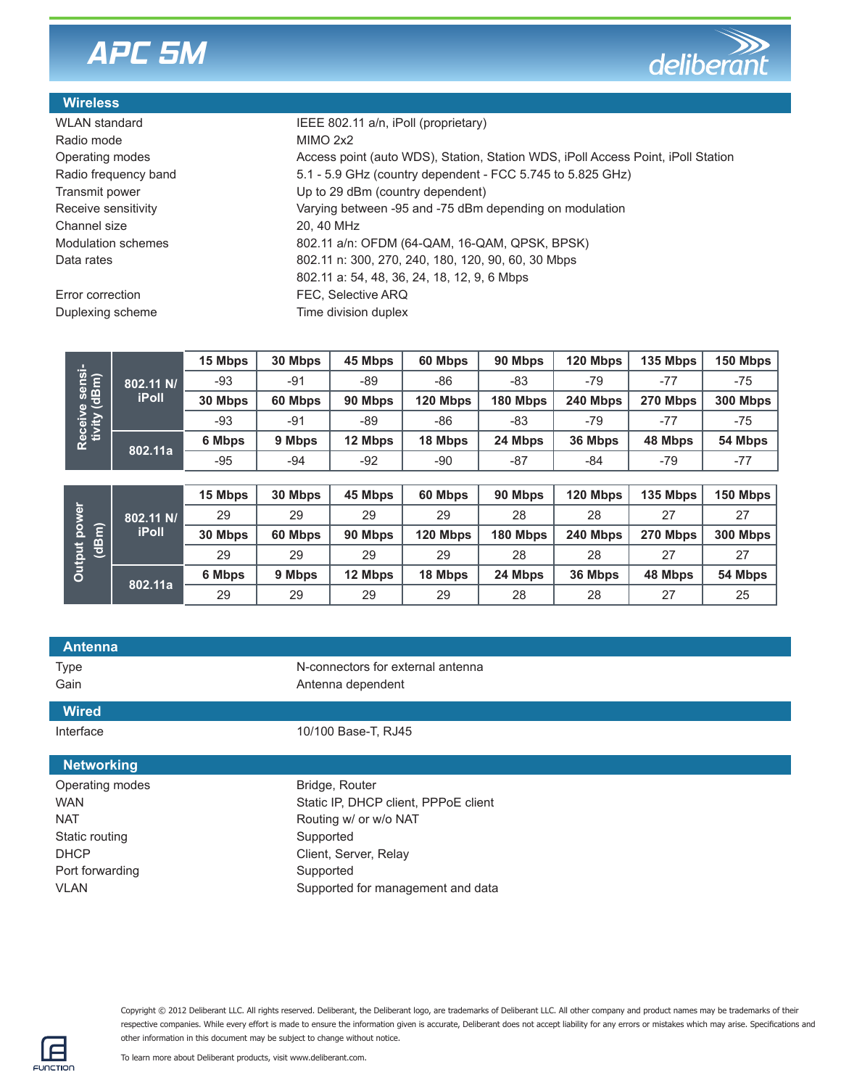# *APC 5M*



### **Wireless**

Radio mode MIMO 2x2 Channel size 20, 40 MHz

Error correction **EXACCORDITY FEC, Selective ARQ** 

Duplexing scheme Time division duplex

WLAN standard **IEEE 802.11 a/n, iPoll (proprietary)** Operating modes **Access point (auto WDS), Station WDS**, iPoll Access Point, iPoll Station Radio frequency band 5.1 - 5.9 GHz (country dependent - FCC 5.745 to 5.825 GHz) Transmit power Up to 29 dBm (country dependent) Receive sensitivity **Varying between** -95 and -75 dBm depending on modulation Modulation schemes 802.11 a/n: OFDM (64-QAM, 16-QAM, QPSK, BPSK) Data rates 802.11 n: 300, 270, 240, 180, 120, 90, 60, 30 Mbps 802.11 a: 54, 48, 36, 24, 18, 12, 9, 6 Mbps

| Receive sensi-<br>tivity (dBm)                         | 802.11 N/<br><b>iPoll</b> | 15 Mbps | 30 Mbps | 45 Mbps | 60 Mbps  | 90 Mbps  | 120 Mbps | 135 Mbps | 150 Mbps |
|--------------------------------------------------------|---------------------------|---------|---------|---------|----------|----------|----------|----------|----------|
|                                                        |                           | $-93$   | $-91$   | -89     | -86      | -83      | $-79$    | $-77$    | $-75$    |
|                                                        |                           | 30 Mbps | 60 Mbps | 90 Mbps | 120 Mbps | 180 Mbps | 240 Mbps | 270 Mbps | 300 Mbps |
|                                                        |                           | $-93$   | -91     | $-89$   | $-86$    | -83      | $-79$    | -77      | $-75$    |
|                                                        | 802.11a                   | 6 Mbps  | 9 Mbps  | 12 Mbps | 18 Mbps  | 24 Mbps  | 36 Mbps  | 48 Mbps  | 54 Mbps  |
|                                                        |                           | $-95$   | -94     | $-92$   | $-90$    | $-87$    | $-84$    | $-79$    | $-77$    |
|                                                        |                           |         |         |         |          |          |          |          |          |
| power<br>έ<br>$\overline{\mathbf{a}}$<br><b>Output</b> | 802.11 N/<br><b>iPoll</b> | 15 Mbps | 30 Mbps | 45 Mbps | 60 Mbps  | 90 Mbps  | 120 Mbps | 135 Mbps | 150 Mbps |
|                                                        |                           | 29      | 29      | 29      | 29       | 28       | 28       | 27       | 27       |
|                                                        |                           | 30 Mbps | 60 Mbps | 90 Mbps | 120 Mbps | 180 Mbps | 240 Mbps | 270 Mbps | 300 Mbps |
|                                                        |                           | 29      | 29      | 29      | 29       | 28       | 28       | 27       | 27       |
|                                                        | 802.11a                   | 6 Mbps  | 9 Mbps  | 12 Mbps | 18 Mbps  | 24 Mbps  | 36 Mbps  | 48 Mbps  | 54 Mbps  |
|                                                        |                           | 29      | 29      | 29      | 29       | 28       | 28       | 27       | 25       |

| <b>Antenna</b>    |                                      |
|-------------------|--------------------------------------|
| <b>Type</b>       | N-connectors for external antenna    |
| Gain              | Antenna dependent                    |
| <b>Wired</b>      |                                      |
| Interface         | 10/100 Base-T, RJ45                  |
|                   |                                      |
| <b>Networking</b> |                                      |
| Operating modes   | Bridge, Router                       |
| <b>WAN</b>        | Static IP, DHCP client, PPPoE client |
| <b>NAT</b>        | Routing w/ or w/o NAT                |
| Static routing    | Supported                            |
| <b>DHCP</b>       | Client, Server, Relay                |
| Port forwarding   | Supported                            |
| <b>VLAN</b>       | Supported for management and data    |

Copyright © 2012 Deliberant LLC. All rights reserved. Deliberant, the Deliberant logo, are trademarks of Deliberant LLC. All other company and product names may be trademarks of their respective companies. While every effort is made to ensure the information given is accurate, Deliberant does not accept liability for any errors or mistakes which may arise. Specifications and other information in this document may be subject to change without notice.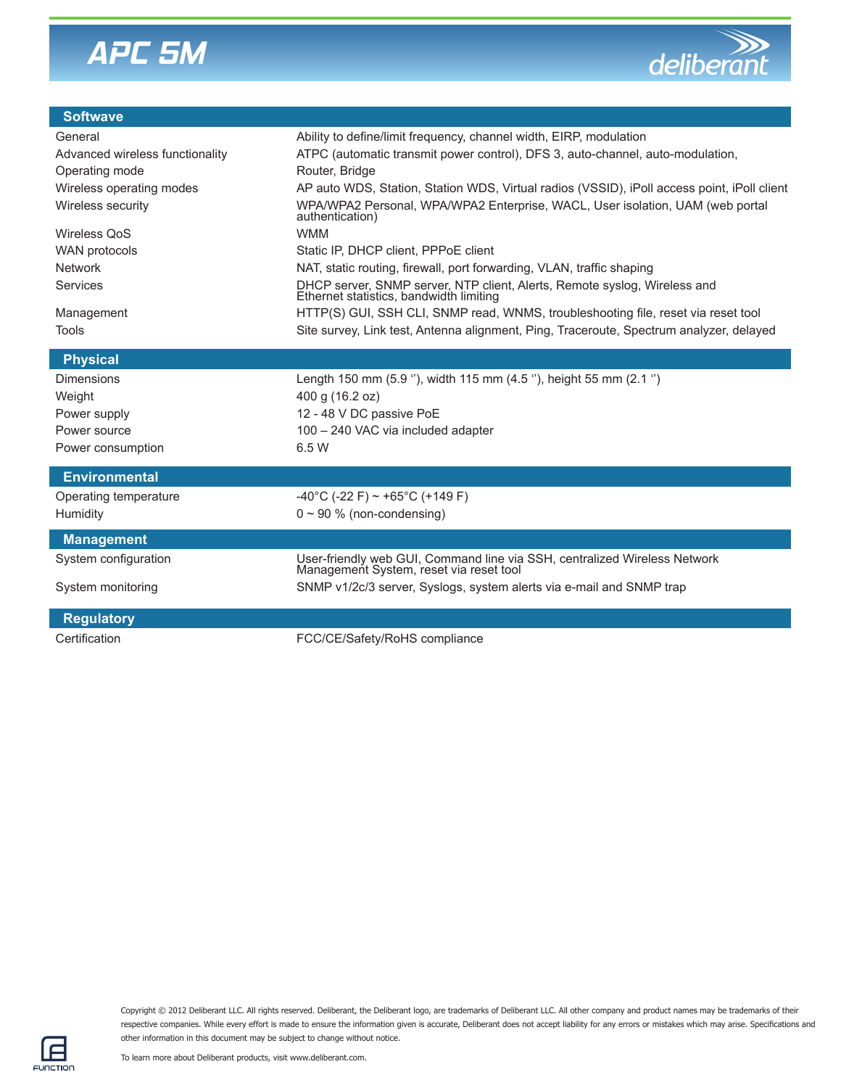



| <b>Softwave</b>                 |                                                                                                                      |
|---------------------------------|----------------------------------------------------------------------------------------------------------------------|
| General                         | Ability to define/limit frequency, channel width, EIRP, modulation                                                   |
| Advanced wireless functionality | ATPC (automatic transmit power control), DFS 3, auto-channel, auto-modulation,                                       |
| Operating mode                  | Router, Bridge                                                                                                       |
| Wireless operating modes        | AP auto WDS, Station, Station WDS, Virtual radios (VSSID), iPoll access point, iPoll client                          |
| Wireless security               | WPA/WPA2 Personal, WPA/WPA2 Enterprise, WACL, User isolation, UAM (web portal<br>authentication)                     |
| <b>Wireless QoS</b>             | <b>WMM</b>                                                                                                           |
| WAN protocols                   | Static IP, DHCP client, PPPoE client                                                                                 |
| <b>Network</b>                  | NAT, static routing, firewall, port forwarding, VLAN, traffic shaping                                                |
| Services                        | DHCP server, SNMP server, NTP client, Alerts, Remote syslog, Wireless and Ethernet statistics, bandwidth limiting    |
| Management                      | HTTP(S) GUI, SSH CLI, SNMP read, WNMS, troubleshooting file, reset via reset tool                                    |
| <b>Tools</b>                    | Site survey, Link test, Antenna alignment, Ping, Traceroute, Spectrum analyzer, delayed                              |
| <b>Physical</b>                 |                                                                                                                      |
| <b>Dimensions</b>               | Length 150 mm (5.9 °), width 115 mm (4.5 °), height 55 mm (2.1 °)                                                    |
| Weight                          | 400 g (16.2 oz)                                                                                                      |
| Power supply                    | 12 - 48 V DC passive PoE                                                                                             |
| Power source                    | 100 - 240 VAC via included adapter                                                                                   |
| Power consumption               | 6.5 W                                                                                                                |
|                                 |                                                                                                                      |
| <b>Environmental</b>            |                                                                                                                      |
| Operating temperature           | $-40^{\circ}$ C (-22 F) ~ +65 $^{\circ}$ C (+149 F)                                                                  |
| Humidity                        | $0 \sim 90$ % (non-condensing)                                                                                       |
| <b>Management</b>               |                                                                                                                      |
| System configuration            | User-friendly web GUI, Command line via SSH, centralized Wireless Network<br>Management System, reset via reset tool |
| System monitoring               | SNMP v1/2c/3 server, Syslogs, system alerts via e-mail and SNMP trap                                                 |
| <b>Regulatory</b>               |                                                                                                                      |
|                                 |                                                                                                                      |
| Certification                   | FCC/CE/Safety/RoHS compliance                                                                                        |

Copyright © 2012 Deliberant LLC. All rights reserved. Deliberant, the Deliberant logo, are trademarks of Deliberant LLC. All other company and product names may be trademarks of their respective companies. While every effort is made to ensure the information given is accurate, Deliberant does not accept liability for any errors or mistakes which may arise. Specifications and other information in this document may be subject to change without notice.